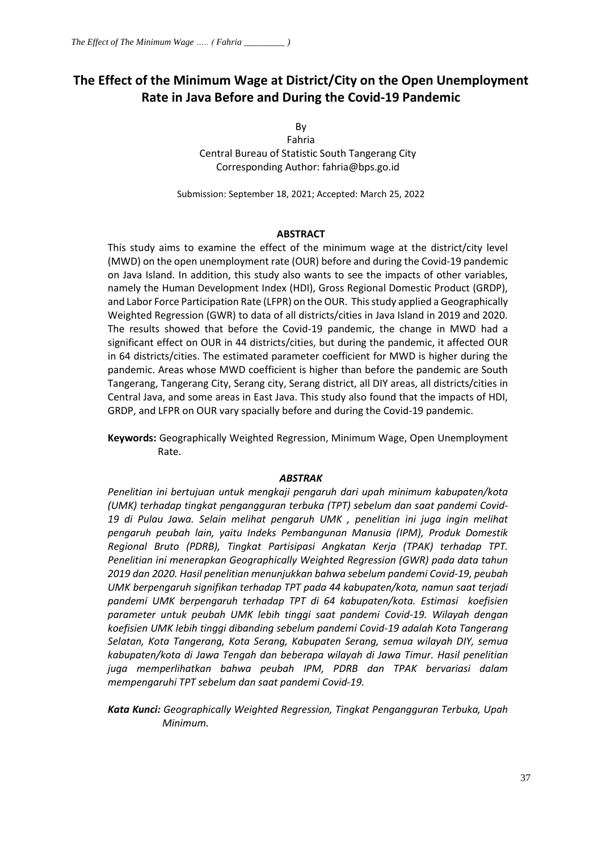# **The Effect of the Minimum Wage at District/City on the Open Unemployment Rate in Java Before and During the Covid-19 Pandemic**

By

Fahria Central Bureau of Statistic South Tangerang City Corresponding Author[: fahria@bps.go.id](mailto:fahria@bps.go.id)

Submission: September 18, 2021; Accepted: March 25, 2022

#### **ABSTRACT**

This study aims to examine the effect of the minimum wage at the district/city level (MWD) on the open unemployment rate (OUR) before and during the Covid-19 pandemic on Java Island. In addition, this study also wants to see the impacts of other variables, namely the Human Development Index (HDI), Gross Regional Domestic Product (GRDP), and Labor Force Participation Rate (LFPR) on the OUR. This study applied a Geographically Weighted Regression (GWR) to data of all districts/cities in Java Island in 2019 and 2020. The results showed that before the Covid-19 pandemic, the change in MWD had a significant effect on OUR in 44 districts/cities, but during the pandemic, it affected OUR in 64 districts/cities. The estimated parameter coefficient for MWD is higher during the pandemic. Areas whose MWD coefficient is higher than before the pandemic are South Tangerang, Tangerang City, Serang city, Serang district, all DIY areas, all districts/cities in Central Java, and some areas in East Java. This study also found that the impacts of HDI, GRDP, and LFPR on OUR vary spacially before and during the Covid-19 pandemic.

**Keywords:** Geographically Weighted Regression, Minimum Wage, Open Unemployment Rate.

#### *ABSTRAK*

*Penelitian ini bertujuan untuk mengkaji pengaruh dari upah minimum kabupaten/kota (UMK) terhadap tingkat pengangguran terbuka (TPT) sebelum dan saat pandemi Covid-19 di Pulau Jawa. Selain melihat pengaruh UMK , penelitian ini juga ingin melihat pengaruh peubah lain, yaitu Indeks Pembangunan Manusia (IPM), Produk Domestik Regional Bruto (PDRB), Tingkat Partisipasi Angkatan Kerja (TPAK) terhadap TPT. Penelitian ini menerapkan Geographically Weighted Regression (GWR) pada data tahun 2019 dan 2020. Hasil penelitian menunjukkan bahwa sebelum pandemi Covid-19, peubah UMK berpengaruh signifikan terhadap TPT pada 44 kabupaten/kota, namun saat terjadi pandemi UMK berpengaruh terhadap TPT di 64 kabupaten/kota. Estimasi koefisien parameter untuk peubah UMK lebih tinggi saat pandemi Covid-19. Wilayah dengan koefisien UMK lebih tinggi dibanding sebelum pandemi Covid-19 adalah Kota Tangerang Selatan, Kota Tangerang, Kota Serang, Kabupaten Serang, semua wilayah DIY, semua kabupaten/kota di Jawa Tengah dan beberapa wilayah di Jawa Timur. Hasil penelitian juga memperlihatkan bahwa peubah IPM, PDRB dan TPAK bervariasi dalam mempengaruhi TPT sebelum dan saat pandemi Covid-19.*

*Kata Kunci: Geographically Weighted Regression, Tingkat Pengangguran Terbuka, Upah Minimum.*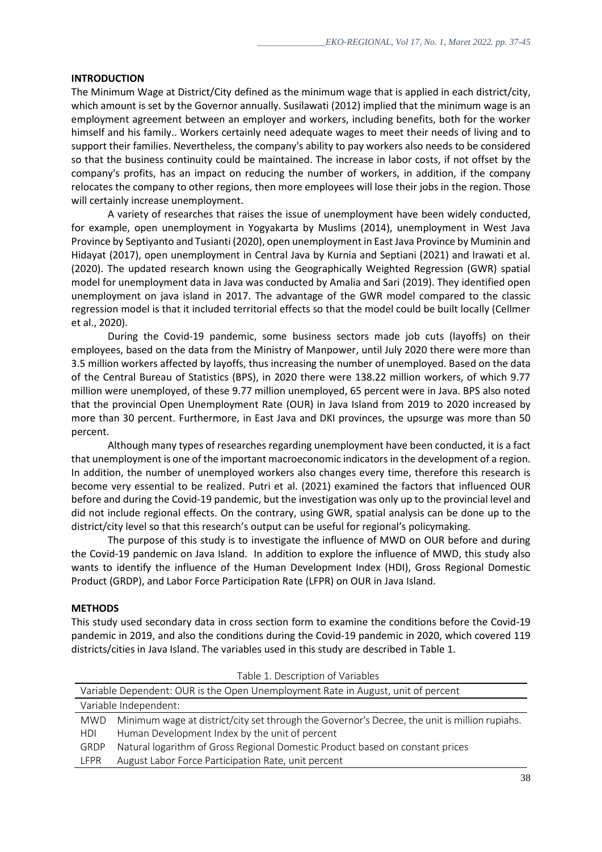## **INTRODUCTION**

The Minimum Wage at District/City defined as the minimum wage that is applied in each district/city, which amount is set by the Governor annually. Susilawati (2012) implied that the minimum wage is an employment agreement between an employer and workers, including benefits, both for the worker himself and his family.. Workers certainly need adequate wages to meet their needs of living and to support their families. Nevertheless, the company's ability to pay workers also needs to be considered so that the business continuity could be maintained. The increase in labor costs, if not offset by the company's profits, has an impact on reducing the number of workers, in addition, if the company relocates the company to other regions, then more employees will lose their jobs in the region. Those will certainly increase unemployment.

A variety of researches that raises the issue of unemployment have been widely conducted, for example, open unemployment in Yogyakarta by Muslims (2014), unemployment in West Java Province by Septiyanto and Tusianti (2020), open unemployment in East Java Province by Muminin and Hidayat (2017), open unemployment in Central Java by Kurnia and Septiani (2021) and Irawati et al. (2020). The updated research known using the Geographically Weighted Regression (GWR) spatial model for unemployment data in Java was conducted by Amalia and Sari (2019). They identified open unemployment on java island in 2017. The advantage of the GWR model compared to the classic regression model is that it included territorial effects so that the model could be built locally (Cellmer et al., 2020).

During the Covid-19 pandemic, some business sectors made job cuts (layoffs) on their employees, based on the data from the Ministry of Manpower, until July 2020 there were more than 3.5 million workers affected by layoffs, thus increasing the number of unemployed. Based on the data of the Central Bureau of Statistics (BPS), in 2020 there were 138.22 million workers, of which 9.77 million were unemployed, of these 9.77 million unemployed, 65 percent were in Java. BPS also noted that the provincial Open Unemployment Rate (OUR) in Java Island from 2019 to 2020 increased by more than 30 percent. Furthermore, in East Java and DKI provinces, the upsurge was more than 50 percent.

Although many types of researches regarding unemployment have been conducted, it is a fact that unemployment is one of the important macroeconomic indicators in the development of a region. In addition, the number of unemployed workers also changes every time, therefore this research is become very essential to be realized. Putri et al. (2021) examined the factors that influenced OUR before and during the Covid-19 pandemic, but the investigation was only up to the provincial level and did not include regional effects. On the contrary, using GWR, spatial analysis can be done up to the district/city level so that this research's output can be useful for regional's policymaking.

The purpose of this study is to investigate the influence of MWD on OUR before and during the Covid-19 pandemic on Java Island. In addition to explore the influence of MWD, this study also wants to identify the influence of the Human Development Index (HDI), Gross Regional Domestic Product (GRDP), and Labor Force Participation Rate (LFPR) on OUR in Java Island.

#### **METHODS**

This study used secondary data in cross section form to examine the conditions before the Covid-19 pandemic in 2019, and also the conditions during the Covid-19 pandemic in 2020, which covered 119 districts/cities in Java Island. The variables used in this study are described in Table 1.

| Variable Dependent: OUR is the Open Unemployment Rate in August, unit of percent |                                                                                               |  |  |  |
|----------------------------------------------------------------------------------|-----------------------------------------------------------------------------------------------|--|--|--|
| Variable Independent:                                                            |                                                                                               |  |  |  |
| <b>MWD</b>                                                                       | Minimum wage at district/city set through the Governor's Decree, the unit is million rupiahs. |  |  |  |
| HDI                                                                              | Human Development Index by the unit of percent                                                |  |  |  |
| GRDP                                                                             | Natural logarithm of Gross Regional Domestic Product based on constant prices                 |  |  |  |
| LFPR                                                                             | August Labor Force Participation Rate, unit percent                                           |  |  |  |

Table 1. Description of Variables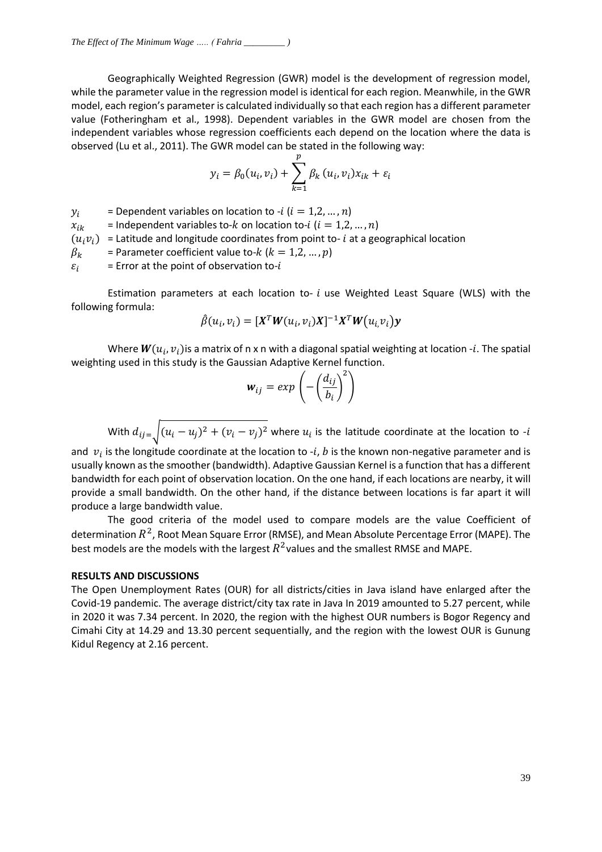Geographically Weighted Regression (GWR) model is the development of regression model, while the parameter value in the regression model is identical for each region. Meanwhile, in the GWR model, each region's parameter is calculated individually so that each region has a different parameter value (Fotheringham et al., 1998). Dependent variables in the GWR model are chosen from the independent variables whose regression coefficients each depend on the location where the data is observed (Lu et al., 2011). The GWR model can be stated in the following way:

$$
y_i = \beta_0(u_i, v_i) + \sum_{k=1}^p \beta_k (u_i, v_i) x_{ik} + \varepsilon_i
$$

 $y_i$  = Dependent variables on location to -*i* ( $i = 1, 2, ..., n$ )  $x_{ik}$  = Independent variables to-k on location to-i ( $i = 1, 2, ..., n$ )  $(u_i v_i)$  = Latitude and longitude coordinates from point to- *i* at a geographical location  $\beta_k$  = Parameter coefficient value to-k ( $k = 1, 2, ..., p$ )  $\varepsilon_i$  = Error at the point of observation to-i

Estimation parameters at each location to-  $i$  use Weighted Least Square (WLS) with the following formula:

$$
\hat{\beta}(u_i, v_i) = [X^T W(u_i, v_i)X]^{-1} X^T W(u_i, v_i) y
$$

Where  $\bm{W}(u_i,v_i)$ is a matrix of n x n with a diagonal spatial weighting at location -i. The spatial weighting used in this study is the Gaussian Adaptive Kernel function.

$$
\mathbf{w}_{ij} = exp\left(-\left(\frac{d_{ij}}{b_i}\right)^2\right)
$$

With  $d_{ij\pm}$   $\left\vert (u_i - u_j)^2 + (v_i - v_j)^2 \right\vert$  where  $u_i$  is the latitude coordinate at the location to -*i* 

and  $v_i$  is the longitude coordinate at the location to -*i*, *b* is the known non-negative parameter and is usually known asthe smoother (bandwidth). Adaptive Gaussian Kernel is a function that has a different bandwidth for each point of observation location. On the one hand, if each locations are nearby, it will provide a small bandwidth. On the other hand, if the distance between locations is far apart it will produce a large bandwidth value.

The good criteria of the model used to compare models are the value Coefficient of determination  $R^2$ , Root Mean Square Error (RMSE), and Mean Absolute Percentage Error (MAPE). The best models are the models with the largest  $R^2$ values and the smallest RMSE and MAPE.

#### **RESULTS AND DISCUSSIONS**

The Open Unemployment Rates (OUR) for all districts/cities in Java island have enlarged after the Covid-19 pandemic. The average district/city tax rate in Java In 2019 amounted to 5.27 percent, while in 2020 it was 7.34 percent. In 2020, the region with the highest OUR numbers is Bogor Regency and Cimahi City at 14.29 and 13.30 percent sequentially, and the region with the lowest OUR is Gunung Kidul Regency at 2.16 percent.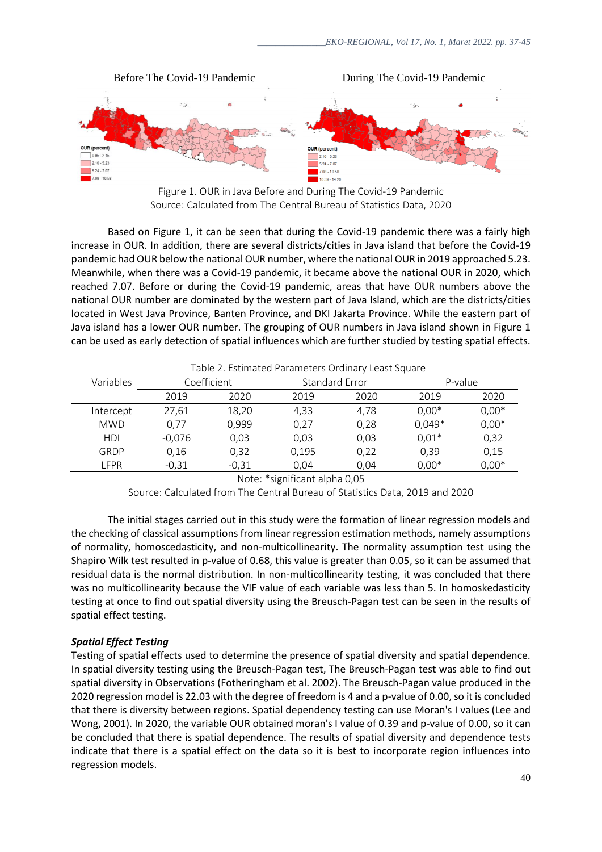



Based on Figure 1, it can be seen that during the Covid-19 pandemic there was a fairly high increase in OUR. In addition, there are several districts/cities in Java island that before the Covid-19 pandemic had OUR below the national OUR number, where the national OUR in 2019 approached 5.23. Meanwhile, when there was a Covid-19 pandemic, it became above the national OUR in 2020, which reached 7.07. Before or during the Covid-19 pandemic, areas that have OUR numbers above the national OUR number are dominated by the western part of Java Island, which are the districts/cities located in West Java Province, Banten Province, and DKI Jakarta Province. While the eastern part of Java island has a lower OUR number. The grouping of OUR numbers in Java island shown in Figure 1 can be used as early detection of spatial influences which are further studied by testing spatial effects.

| Table 2. Estimated Parameters Ordinary Least Square |             |         |                       |      |          |         |
|-----------------------------------------------------|-------------|---------|-----------------------|------|----------|---------|
| Variables                                           | Coefficient |         | <b>Standard Error</b> |      | P-value  |         |
|                                                     | 2019        | 2020    | 2019                  | 2020 | 2019     | 2020    |
| Intercept                                           | 27,61       | 18,20   | 4.33                  | 4,78 | $0,00*$  | $0,00*$ |
| <b>MWD</b>                                          | 0,77        | 0,999   | 0.27                  | 0.28 | $0,049*$ | $0,00*$ |
| HDI                                                 | $-0.076$    | 0,03    | 0.03                  | 0.03 | $0.01*$  | 0,32    |
| GRDP                                                | 0,16        | 0,32    | 0,195                 | 0.22 | 0,39     | 0,15    |
| LFPR                                                | $-0,31$     | $-0,31$ | 0.04                  | 0.04 | $0,00*$  | $0,00*$ |

Note: \*significant alpha 0,05

Source: Calculated from The Central Bureau of Statistics Data, 2019 and 2020

The initial stages carried out in this study were the formation of linear regression models and the checking of classical assumptions from linear regression estimation methods, namely assumptions of normality, homoscedasticity, and non-multicollinearity. The normality assumption test using the Shapiro Wilk test resulted in p-value of 0.68, this value is greater than 0.05, so it can be assumed that residual data is the normal distribution. In non-multicollinearity testing, it was concluded that there was no multicollinearity because the VIF value of each variable was less than 5. In homoskedasticity testing at once to find out spatial diversity using the Breusch-Pagan test can be seen in the results of spatial effect testing.

# *Spatial Effect Testing*

Testing of spatial effects used to determine the presence of spatial diversity and spatial dependence. In spatial diversity testing using the Breusch-Pagan test, The Breusch-Pagan test was able to find out spatial diversity in Observations (Fotheringham et al. 2002). The Breusch-Pagan value produced in the 2020 regression model is 22.03 with the degree of freedom is 4 and a p-value of 0.00, so it is concluded that there is diversity between regions. Spatial dependency testing can use Moran's I values (Lee and Wong, 2001). In 2020, the variable OUR obtained moran's I value of 0.39 and p-value of 0.00, so it can be concluded that there is spatial dependence. The results of spatial diversity and dependence tests indicate that there is a spatial effect on the data so it is best to incorporate region influences into regression models.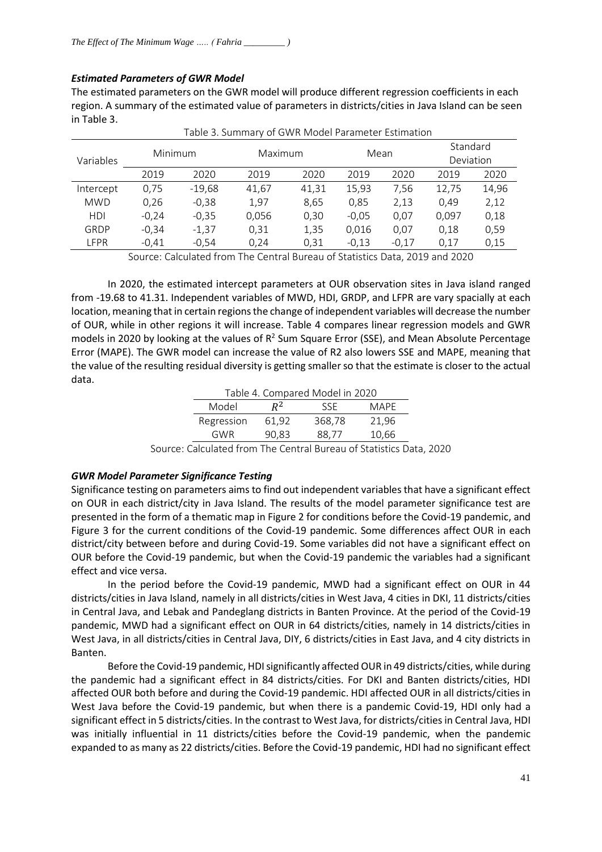# *Estimated Parameters of GWR Model*

The estimated parameters on the GWR model will produce different regression coefficients in each region. A summary of the estimated value of parameters in districts/cities in Java Island can be seen in Table 3.

| Variables  | Minimum |          | Maximum |       | Mean    |         | Standard<br>Deviation |       |
|------------|---------|----------|---------|-------|---------|---------|-----------------------|-------|
|            | 2019    | 2020     | 2019    | 2020  | 2019    | 2020    | 2019                  | 2020  |
| Intercept  | 0,75    | $-19,68$ | 41,67   | 41,31 | 15,93   | 7.56    | 12,75                 | 14,96 |
| <b>MWD</b> | 0.26    | $-0,38$  | 1,97    | 8,65  | 0.85    | 2,13    | 0.49                  | 2,12  |
| HDI        | $-0,24$ | $-0,35$  | 0,056   | 0,30  | $-0,05$ | 0.07    | 0.097                 | 0,18  |
| GRDP       | $-0.34$ | $-1,37$  | 0,31    | 1,35  | 0,016   | 0.07    | 0,18                  | 0,59  |
| LFPR       | $-0,41$ | $-0.54$  | 0.24    | 0,31  | $-0.13$ | $-0.17$ | 0.17                  | 0,15  |

Table 3. Summary of GWR Model Parameter Estimation

Source: Calculated from The Central Bureau of Statistics Data, 2019 and 2020

In 2020, the estimated intercept parameters at OUR observation sites in Java island ranged from -19.68 to 41.31. Independent variables of MWD, HDI, GRDP, and LFPR are vary spacially at each location, meaning that in certain regions the change of independent variables will decrease the number of OUR, while in other regions it will increase. Table 4 compares linear regression models and GWR models in 2020 by looking at the values of  $R^2$  Sum Square Error (SSE), and Mean Absolute Percentage Error (MAPE). The GWR model can increase the value of R2 also lowers SSE and MAPE, meaning that the value of the resulting residual diversity is getting smaller so that the estimate is closer to the actual data.

| Table 4. Compared Model in 2020 |       |        |             |  |  |
|---------------------------------|-------|--------|-------------|--|--|
| Model                           | $R^2$ | SSE    | <b>MAPF</b> |  |  |
| Regression                      | 61.92 | 368,78 | 21,96       |  |  |
| GWR                             | 90,83 | 88.77  | 10,66       |  |  |

Source: Calculated from The Central Bureau of Statistics Data, 2020

# *GWR Model Parameter Significance Testing*

Significance testing on parameters aims to find out independent variables that have a significant effect on OUR in each district/city in Java Island. The results of the model parameter significance test are presented in the form of a thematic map in Figure 2 for conditions before the Covid-19 pandemic, and Figure 3 for the current conditions of the Covid-19 pandemic. Some differences affect OUR in each district/city between before and during Covid-19. Some variables did not have a significant effect on OUR before the Covid-19 pandemic, but when the Covid-19 pandemic the variables had a significant effect and vice versa.

In the period before the Covid-19 pandemic, MWD had a significant effect on OUR in 44 districts/cities in Java Island, namely in all districts/cities in West Java, 4 cities in DKI, 11 districts/cities in Central Java, and Lebak and Pandeglang districts in Banten Province. At the period of the Covid-19 pandemic, MWD had a significant effect on OUR in 64 districts/cities, namely in 14 districts/cities in West Java, in all districts/cities in Central Java, DIY, 6 districts/cities in East Java, and 4 city districts in Banten.

Before the Covid-19 pandemic, HDI significantly affected OUR in 49 districts/cities, while during the pandemic had a significant effect in 84 districts/cities. For DKI and Banten districts/cities, HDI affected OUR both before and during the Covid-19 pandemic. HDI affected OUR in all districts/cities in West Java before the Covid-19 pandemic, but when there is a pandemic Covid-19, HDI only had a significant effect in 5 districts/cities. In the contrast to West Java, for districts/cities in Central Java, HDI was initially influential in 11 districts/cities before the Covid-19 pandemic, when the pandemic expanded to as many as 22 districts/cities. Before the Covid-19 pandemic, HDI had no significant effect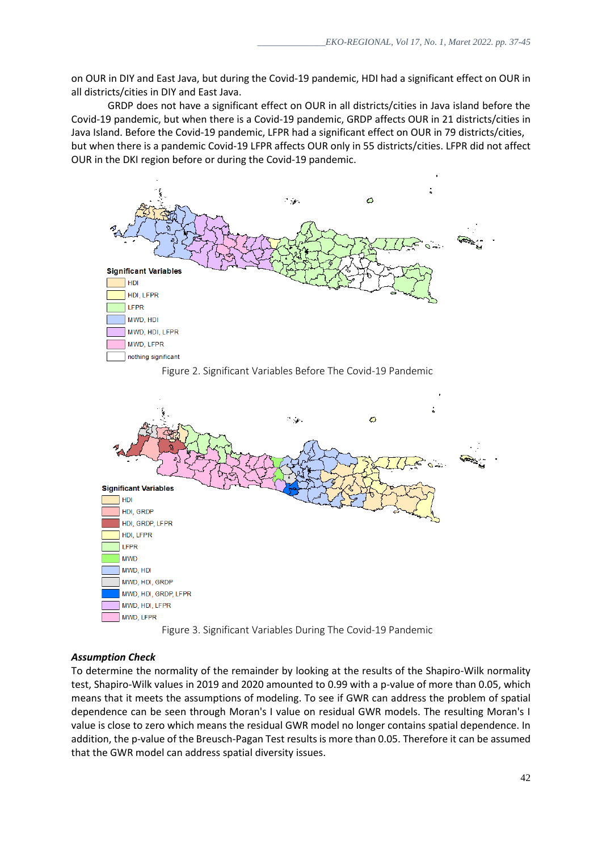on OUR in DIY and East Java, but during the Covid-19 pandemic, HDI had a significant effect on OUR in all districts/cities in DIY and East Java.

GRDP does not have a significant effect on OUR in all districts/cities in Java island before the Covid-19 pandemic, but when there is a Covid-19 pandemic, GRDP affects OUR in 21 districts/cities in Java Island. Before the Covid-19 pandemic, LFPR had a significant effect on OUR in 79 districts/cities, but when there is a pandemic Covid-19 LFPR affects OUR only in 55 districts/cities. LFPR did not affect OUR in the DKI region before or during the Covid-19 pandemic.







# *Assumption Check*

To determine the normality of the remainder by looking at the results of the Shapiro-Wilk normality test, Shapiro-Wilk values in 2019 and 2020 amounted to 0.99 with a p-value of more than 0.05, which means that it meets the assumptions of modeling. To see if GWR can address the problem of spatial dependence can be seen through Moran's I value on residual GWR models. The resulting Moran's I value is close to zero which means the residual GWR model no longer contains spatial dependence. In addition, the p-value of the Breusch-Pagan Test results is more than 0.05. Therefore it can be assumed that the GWR model can address spatial diversity issues.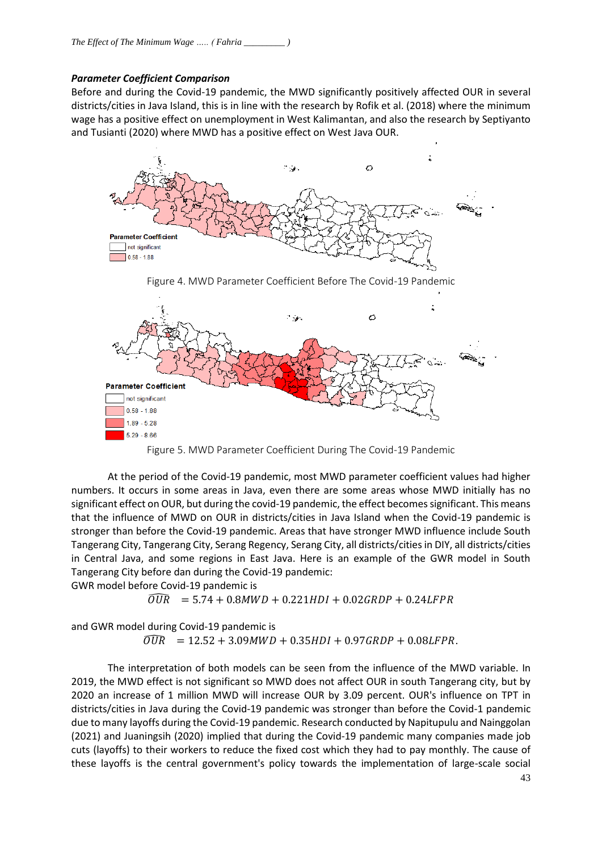## *Parameter Coefficient Comparison*

Before and during the Covid-19 pandemic, the MWD significantly positively affected OUR in several districts/cities in Java Island, this is in line with the research by Rofik et al. (2018) where the minimum wage has a positive effect on unemployment in West Kalimantan, and also the research by Septiyanto and Tusianti (2020) where MWD has a positive effect on West Java OUR.



Figure 5. MWD Parameter Coefficient During The Covid-19 Pandemic

At the period of the Covid-19 pandemic, most MWD parameter coefficient values had higher numbers. It occurs in some areas in Java, even there are some areas whose MWD initially has no significant effect on OUR, but during the covid-19 pandemic, the effect becomes significant. This means that the influence of MWD on OUR in districts/cities in Java Island when the Covid-19 pandemic is stronger than before the Covid-19 pandemic. Areas that have stronger MWD influence include South Tangerang City, Tangerang City, Serang Regency, Serang City, all districts/cities in DIY, all districts/cities in Central Java, and some regions in East Java. Here is an example of the GWR model in South Tangerang City before dan during the Covid-19 pandemic:

GWR model before Covid-19 pandemic is

 $\widehat{OUR} = 5.74 + 0.8 MWD + 0.221 HDI + 0.02 GRDP + 0.24 LFPR$ 

and GWR model during Covid-19 pandemic is

 $\overline{O} \overline{UR}$  = 12.52 + 3.09MWD + 0.35HDI + 0.97GRDP + 0.08LFPR.

The interpretation of both models can be seen from the influence of the MWD variable. In 2019, the MWD effect is not significant so MWD does not affect OUR in south Tangerang city, but by 2020 an increase of 1 million MWD will increase OUR by 3.09 percent. OUR's influence on TPT in districts/cities in Java during the Covid-19 pandemic was stronger than before the Covid-1 pandemic due to many layoffs during the Covid-19 pandemic. Research conducted by Napitupulu and Nainggolan (2021) and Juaningsih (2020) implied that during the Covid-19 pandemic many companies made job cuts (layoffs) to their workers to reduce the fixed cost which they had to pay monthly. The cause of these layoffs is the central government's policy towards the implementation of large-scale social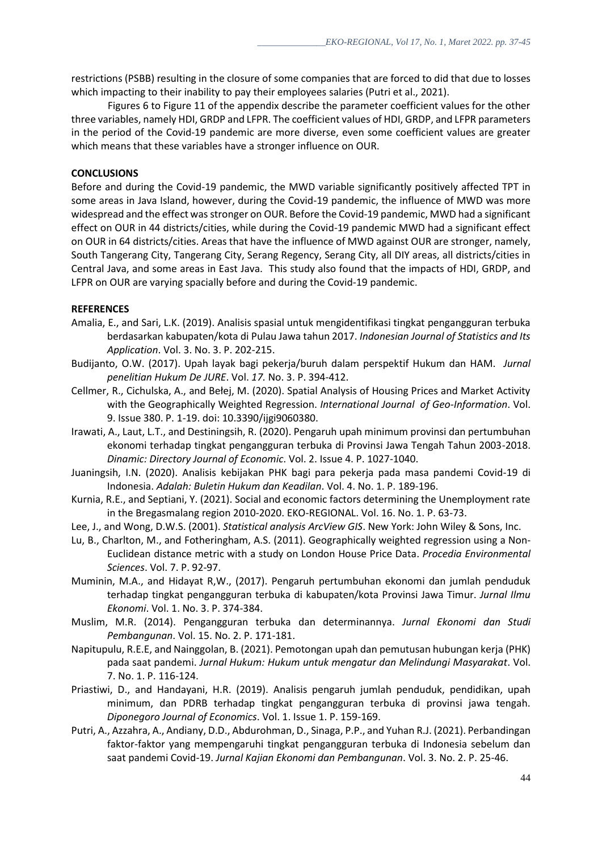restrictions (PSBB) resulting in the closure of some companies that are forced to did that due to losses which impacting to their inability to pay their employees salaries (Putri et al., 2021).

Figures 6 to Figure 11 of the appendix describe the parameter coefficient values for the other three variables, namely HDI, GRDP and LFPR. The coefficient values of HDI, GRDP, and LFPR parameters in the period of the Covid-19 pandemic are more diverse, even some coefficient values are greater which means that these variables have a stronger influence on OUR.

## **CONCLUSIONS**

Before and during the Covid-19 pandemic, the MWD variable significantly positively affected TPT in some areas in Java Island, however, during the Covid-19 pandemic, the influence of MWD was more widespread and the effect was stronger on OUR. Before the Covid-19 pandemic, MWD had a significant effect on OUR in 44 districts/cities, while during the Covid-19 pandemic MWD had a significant effect on OUR in 64 districts/cities. Areas that have the influence of MWD against OUR are stronger, namely, South Tangerang City, Tangerang City, Serang Regency, Serang City, all DIY areas, all districts/cities in Central Java, and some areas in East Java. This study also found that the impacts of HDI, GRDP, and LFPR on OUR are varying spacially before and during the Covid-19 pandemic.

#### **REFERENCES**

- Amalia, E., and Sari, L.K. (2019). Analisis spasial untuk mengidentifikasi tingkat pengangguran terbuka berdasarkan kabupaten/kota di Pulau Jawa tahun 2017. *Indonesian Journal of Statistics and Its Application*. Vol. 3. No. 3. P. 202-215.
- Budijanto, O.W. (2017). Upah layak bagi pekerja/buruh dalam perspektif Hukum dan HAM. *Jurnal penelitian Hukum De JURE*. Vol. *17.* No. 3. P. 394-412.
- Cellmer, R., Cichulska, A., and Bełej, M. (2020). Spatial Analysis of Housing Prices and Market Activity with the Geographically Weighted Regression. *International Journal of Geo-Information*. Vol. 9. Issue 380. P. 1-19. doi: 10.3390/ijgi9060380.
- Irawati, A., Laut, L.T., and Destiningsih, R. (2020). Pengaruh upah minimum provinsi dan pertumbuhan ekonomi terhadap tingkat pengangguran terbuka di Provinsi Jawa Tengah Tahun 2003-2018. *Dinamic: Directory Journal of Economic*. Vol. 2. Issue 4. P. 1027-1040.
- Juaningsih, I.N. (2020). Analisis kebijakan PHK bagi para pekerja pada masa pandemi Covid-19 di Indonesia. *Adalah: Buletin Hukum dan Keadilan*. Vol. 4. No. 1. P. 189-196.
- Kurnia, R.E., and Septiani, Y. (2021). Social and economic factors determining the Unemployment rate in the Bregasmalang region 2010-2020. EKO-REGIONAL. Vol. 16. No. 1. P. 63-73.
- Lee, J., and Wong, D.W.S. (2001). *Statistical analysis ArcView GIS*. New York: John Wiley & Sons, Inc.
- Lu, B., Charlton, M., and Fotheringham, A.S. (2011). Geographically weighted regression using a Non-Euclidean distance metric with a study on London House Price Data. *Procedia Environmental Sciences*. Vol. 7. P. 92-97.
- Muminin, M.A., and Hidayat R,W., (2017). Pengaruh pertumbuhan ekonomi dan jumlah penduduk terhadap tingkat pengangguran terbuka di kabupaten/kota Provinsi Jawa Timur. *Jurnal Ilmu Ekonomi*. Vol. 1. No. 3. P. 374-384.
- Muslim, M.R. (2014). Pengangguran terbuka dan determinannya. *Jurnal Ekonomi dan Studi Pembangunan*. Vol. 15. No. 2. P. 171-181.
- Napitupulu, R.E.E, and Nainggolan, B. (2021). Pemotongan upah dan pemutusan hubungan kerja (PHK) pada saat pandemi. *Jurnal Hukum: Hukum untuk mengatur dan Melindungi Masyarakat*. Vol. 7. No. 1. P. 116-124.
- Priastiwi, D., and Handayani, H.R. (2019). Analisis pengaruh jumlah penduduk, pendidikan, upah minimum, dan PDRB terhadap tingkat pengangguran terbuka di provinsi jawa tengah. *Diponegoro Journal of Economics*. Vol. 1. Issue 1. P. 159-169.
- Putri, A., Azzahra, A., Andiany, D.D., Abdurohman, D., Sinaga, P.P., and Yuhan R.J. (2021). Perbandingan faktor-faktor yang mempengaruhi tingkat pengangguran terbuka di Indonesia sebelum dan saat pandemi Covid-19. *Jurnal Kajian Ekonomi dan Pembangunan*. Vol. 3. No. 2. P. 25-46.